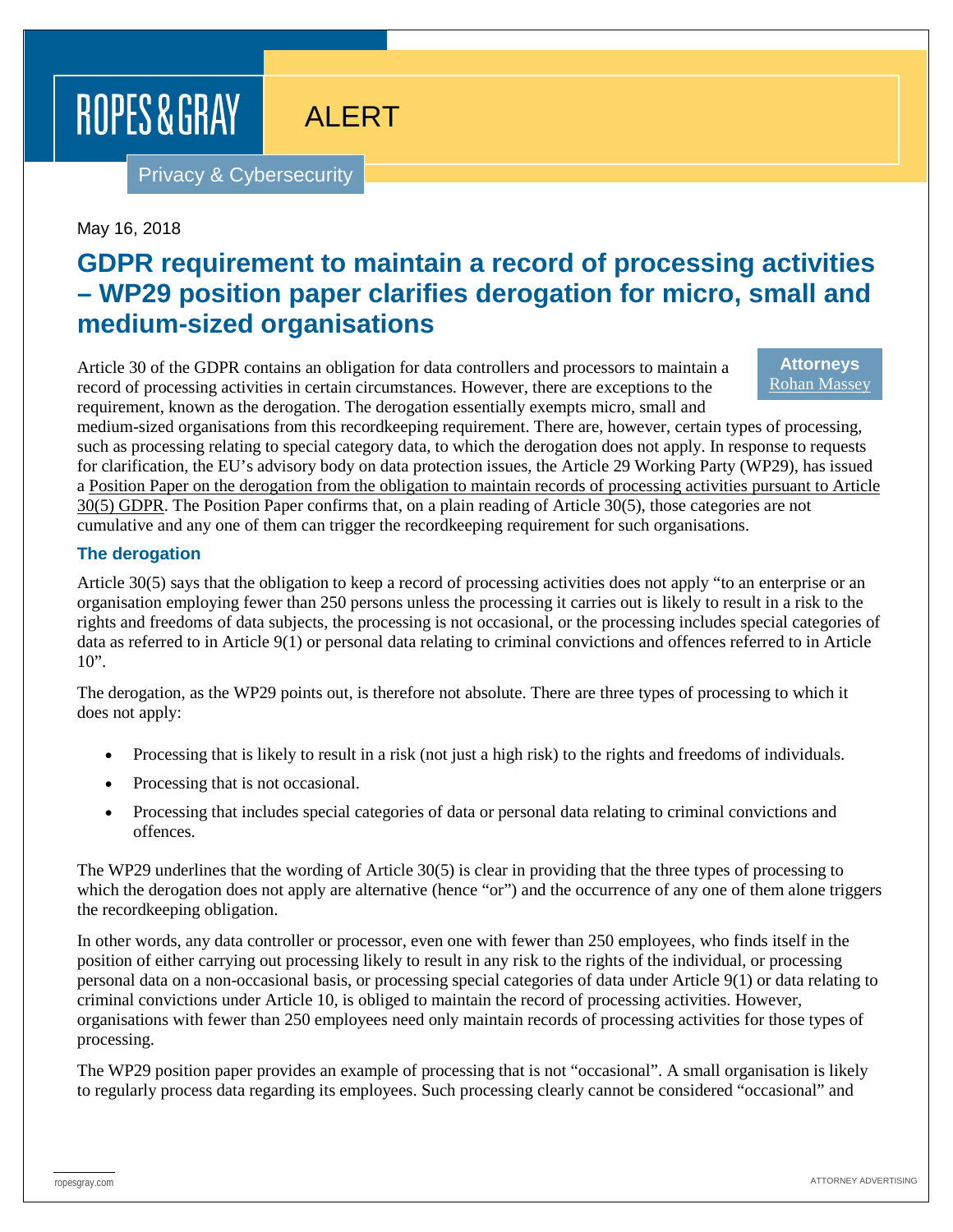ROPES & GRAY

# ALERT

Privacy & Cybersecurity

May 16, 2018

## **GDPR requirement to maintain a record of processing activities – WP29 position paper clarifies derogation for micro, small and medium-sized organisations**

Article 30 of the GDPR contains an obligation for data controllers and processors to maintain a record of processing activities in certain circumstances. However, there are exceptions to the requirement, known as the derogation. The derogation essentially exempts micro, small and

**Attorneys** [Rohan Massey](https://www.ropesgray.com/en/biographies/m/rohan-massey)

medium-sized organisations from this recordkeeping requirement. There are, however, certain types of processing, such as processing relating to special category data, to which the derogation does not apply. In response to requests for clarification, the EU's advisory body on data protection issues, the Article 29 Working Party (WP29), has issued a Position Paper on the derogation from the obligation to maintain records of processing activities pursuant to Article 30(5) GDPR. The Position Paper confirms that, on a plain reading of Article 30(5), those categories are not cumulative and any one of them can trigger the recordkeeping requirement for such organisations.

#### **The derogation**

Article 30(5) says that the obligation to keep a record of processing activities does not apply "to an enterprise or an organisation employing fewer than 250 persons unless the processing it carries out is likely to result in a risk to the rights and freedoms of data subjects, the processing is not occasional, or the processing includes special categories of data as referred to in Article 9(1) or personal data relating to criminal convictions and offences referred to in Article 10".

The derogation, as the WP29 points out, is therefore not absolute. There are three types of processing to which it does not apply:

- Processing that is likely to result in a risk (not just a high risk) to the rights and freedoms of individuals.
- Processing that is not occasional.
- Processing that includes special categories of data or personal data relating to criminal convictions and offences.

The WP29 underlines that the wording of Article 30(5) is clear in providing that the three types of processing to which the derogation does not apply are alternative (hence "or") and the occurrence of any one of them alone triggers the recordkeeping obligation.

In other words, any data controller or processor, even one with fewer than 250 employees, who finds itself in the position of either carrying out processing likely to result in any risk to the rights of the individual, or processing personal data on a non-occasional basis, or processing special categories of data under Article 9(1) or data relating to criminal convictions under Article 10, is obliged to maintain the record of processing activities. However, organisations with fewer than 250 employees need only maintain records of processing activities for those types of processing.

The WP29 position paper provides an example of processing that is not "occasional". A small organisation is likely to regularly process data regarding its employees. Such processing clearly cannot be considered "occasional" and